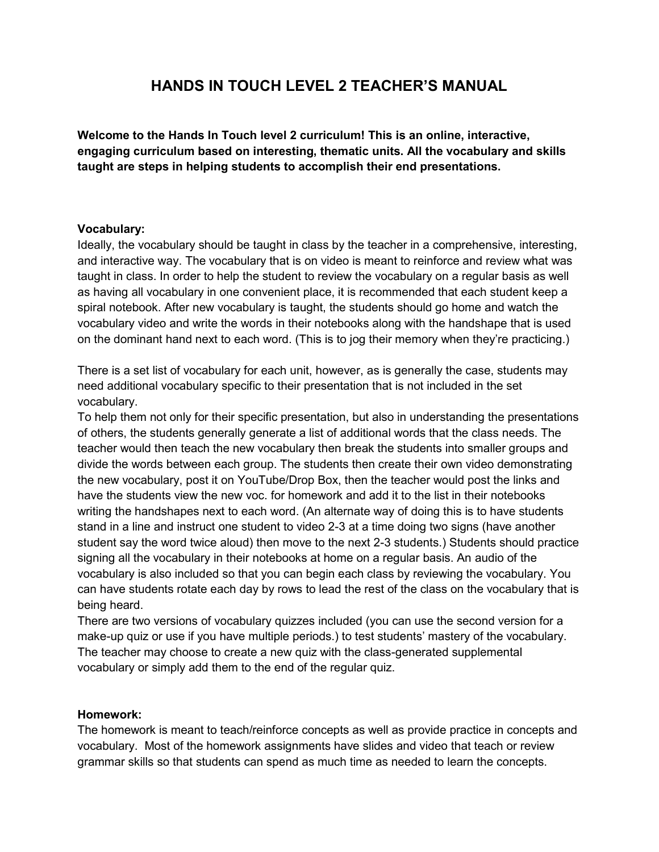## **HANDS IN TOUCH LEVEL 2 TEACHER'S MANUAL**

**Welcome to the Hands In Touch level 2 curriculum! This is an online, interactive, engaging curriculum based on interesting, thematic units. All the vocabulary and skills taught are steps in helping students to accomplish their end presentations.** 

#### **Vocabulary:**

Ideally, the vocabulary should be taught in class by the teacher in a comprehensive, interesting, and interactive way. The vocabulary that is on video is meant to reinforce and review what was taught in class. In order to help the student to review the vocabulary on a regular basis as well as having all vocabulary in one convenient place, it is recommended that each student keep a spiral notebook. After new vocabulary is taught, the students should go home and watch the vocabulary video and write the words in their notebooks along with the handshape that is used on the dominant hand next to each word. (This is to jog their memory when they're practicing.)

There is a set list of vocabulary for each unit, however, as is generally the case, students may need additional vocabulary specific to their presentation that is not included in the set vocabulary.

To help them not only for their specific presentation, but also in understanding the presentations of others, the students generally generate a list of additional words that the class needs. The teacher would then teach the new vocabulary then break the students into smaller groups and divide the words between each group. The students then create their own video demonstrating the new vocabulary, post it on YouTube/Drop Box, then the teacher would post the links and have the students view the new voc. for homework and add it to the list in their notebooks writing the handshapes next to each word. (An alternate way of doing this is to have students stand in a line and instruct one student to video 2-3 at a time doing two signs (have another student say the word twice aloud) then move to the next 2-3 students.) Students should practice signing all the vocabulary in their notebooks at home on a regular basis. An audio of the vocabulary is also included so that you can begin each class by reviewing the vocabulary. You can have students rotate each day by rows to lead the rest of the class on the vocabulary that is being heard.

There are two versions of vocabulary quizzes included (you can use the second version for a make-up quiz or use if you have multiple periods.) to test students' mastery of the vocabulary. The teacher may choose to create a new quiz with the class-generated supplemental vocabulary or simply add them to the end of the regular quiz.

#### **Homework:**

The homework is meant to teach/reinforce concepts as well as provide practice in concepts and vocabulary. Most of the homework assignments have slides and video that teach or review grammar skills so that students can spend as much time as needed to learn the concepts.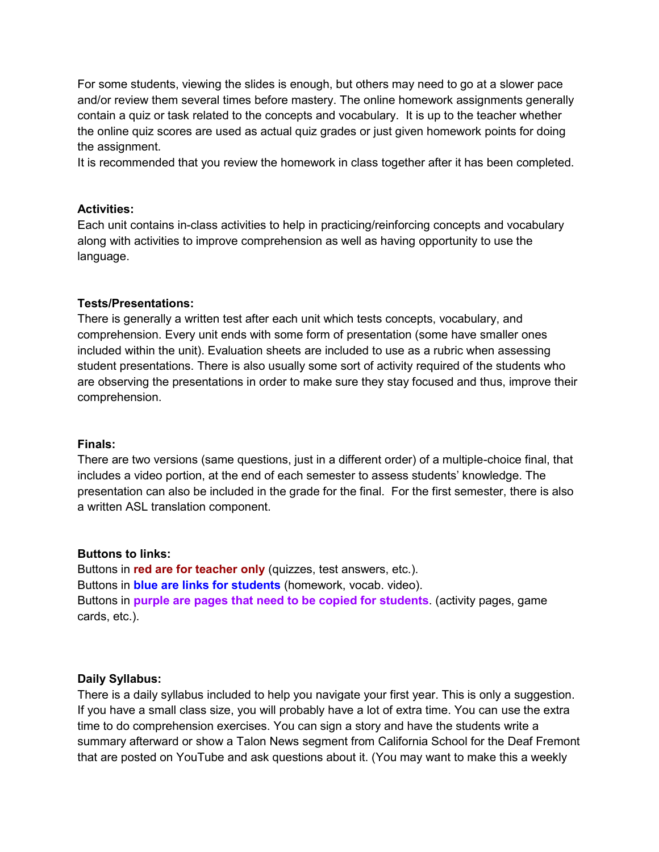For some students, viewing the slides is enough, but others may need to go at a slower pace and/or review them several times before mastery. The online homework assignments generally contain a quiz or task related to the concepts and vocabulary. It is up to the teacher whether the online quiz scores are used as actual quiz grades or just given homework points for doing the assignment.

It is recommended that you review the homework in class together after it has been completed.

#### **Activities:**

Each unit contains in-class activities to help in practicing/reinforcing concepts and vocabulary along with activities to improve comprehension as well as having opportunity to use the language.

#### **Tests/Presentations:**

There is generally a written test after each unit which tests concepts, vocabulary, and comprehension. Every unit ends with some form of presentation (some have smaller ones included within the unit). Evaluation sheets are included to use as a rubric when assessing student presentations. There is also usually some sort of activity required of the students who are observing the presentations in order to make sure they stay focused and thus, improve their comprehension.

#### **Finals:**

There are two versions (same questions, just in a different order) of a multiple-choice final, that includes a video portion, at the end of each semester to assess students' knowledge. The presentation can also be included in the grade for the final. For the first semester, there is also a written ASL translation component.

#### **Buttons to links:**

Buttons in **red are for teacher only** (quizzes, test answers, etc.). Buttons in **blue are links for students** (homework, vocab. video). Buttons in **purple are pages that need to be copied for students**. (activity pages, game cards, etc.).

#### **Daily Syllabus:**

There is a daily syllabus included to help you navigate your first year. This is only a suggestion. If you have a small class size, you will probably have a lot of extra time. You can use the extra time to do comprehension exercises. You can sign a story and have the students write a summary afterward or show a Talon News segment from California School for the Deaf Fremont that are posted on YouTube and ask questions about it. (You may want to make this a weekly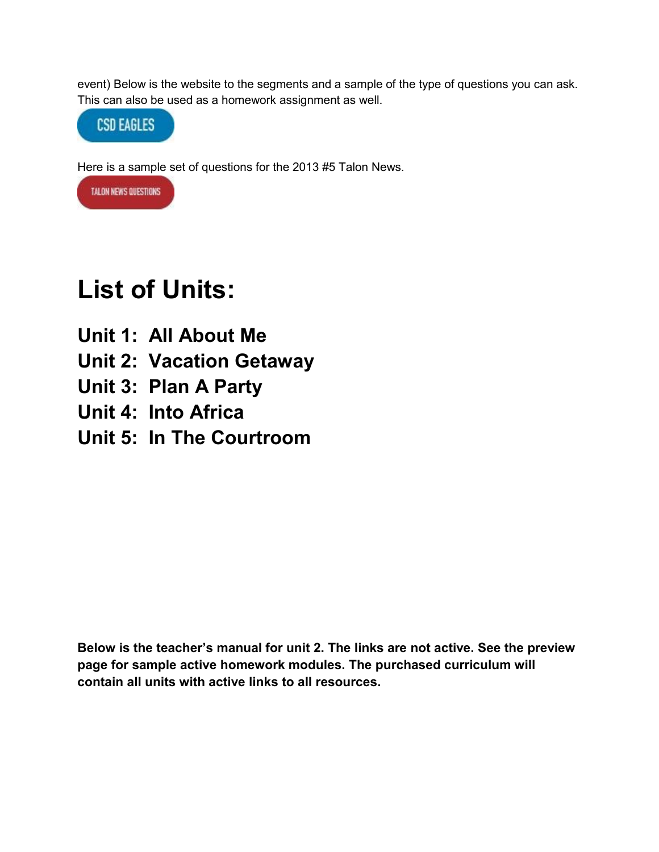event) Below is the website to the segments and a sample of the type of questions you can ask. This can also be used as a homework assignment as well.



Here is a sample set of questions for the 2013 #5 Talon News.



# **List of Units:**

- **Unit 1: All About Me**
- **Unit 2: Vacation Getaway**
- **Unit 3: Plan A Party**
- **Unit 4: Into Africa**
- **Unit 5: In The Courtroom**

**Below is the teacher's manual for unit 2. The links are not active. See the preview page for sample active homework modules. The purchased curriculum will contain all units with active links to all resources.**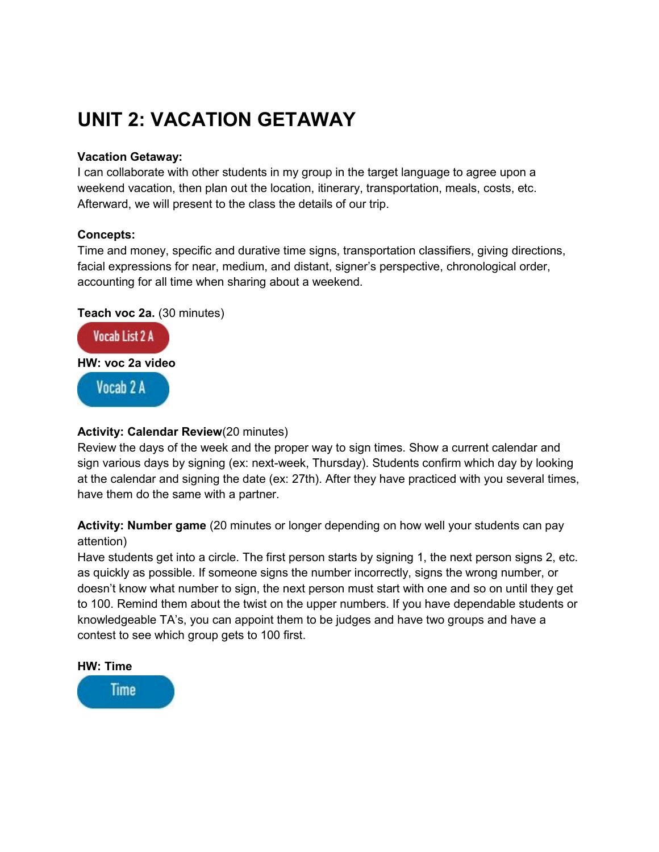## **UNIT 2: VACATION GETAWAY**

#### **Vacation Getaway:**

I can collaborate with other students in my group in the target language to agree upon a weekend vacation, then plan out the location, itinerary, transportation, meals, costs, etc. Afterward, we will present to the class the details of our trip.

#### **Concepts:**

Time and money, specific and durative time signs, transportation classifiers, giving directions, facial expressions for near, medium, and distant, signer's perspective, chronological order, accounting for all time when sharing about a weekend.

**Teach voc 2a.** (30 minutes)



#### **Activity: Calendar Review**(20 minutes)

Review the days of the week and the proper way to sign times. Show a current calendar and sign various days by signing (ex: next-week, Thursday). Students confirm which day by looking at the calendar and signing the date (ex: 27th). After they have practiced with you several times, have them do the same with a partner.

**Activity: Number game** (20 minutes or longer depending on how well your students can pay attention)

Have students get into a circle. The first person starts by signing 1, the next person signs 2, etc. as quickly as possible. If someone signs the number incorrectly, signs the wrong number, or doesn't know what number to sign, the next person must start with one and so on until they get to 100. Remind them about the twist on the upper numbers. If you have dependable students or knowledgeable TA's, you can appoint them to be judges and have two groups and have a contest to see which group gets to 100 first.

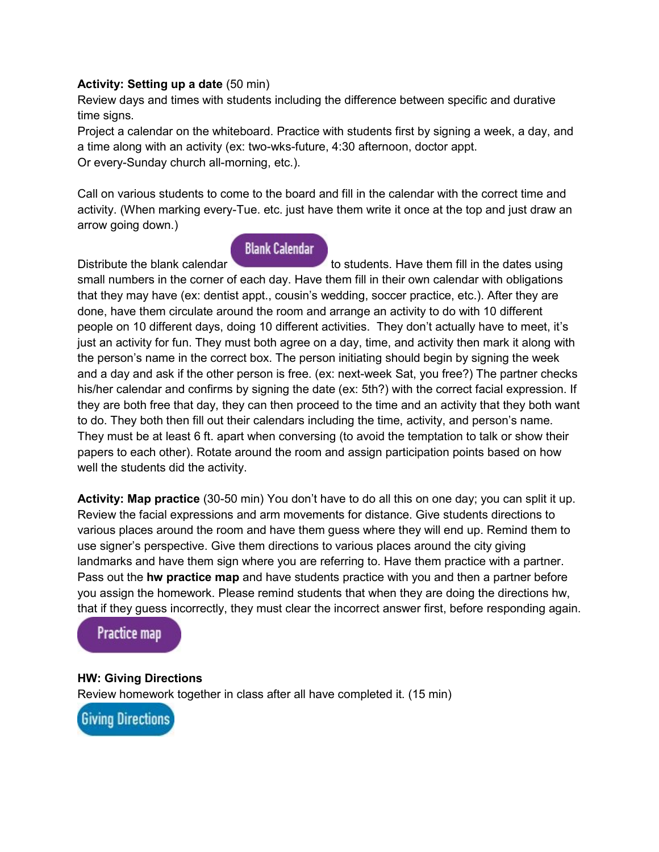#### **Activity: Setting up a date** (50 min)

Review days and times with students including the difference between specific and durative time signs.

Project a calendar on the whiteboard. Practice with students first by signing a week, a day, and a time along with an activity (ex: two-wks-future, 4:30 afternoon, doctor appt. Or every-Sunday church all-morning, etc.).

Call on various students to come to the board and fill in the calendar with the correct time and activity. (When marking every-Tue. etc. just have them write it once at the top and just draw an arrow going down.)

#### **Blank Calendar**

Distributethe blank calendar to students. Have them fill in the dates using small numbers in the corner of each day. Have them fill in their own calendar with obligations that they may have (ex: dentist appt., cousin's wedding, soccer practice, etc.). After they are done, have them circulate around the room and arrange an activity to do with 10 different people on 10 different days, doing 10 different activities. They don't actually have to meet, it's just an activity for fun. They must both agree on a day, time, and activity then mark it along with the person's name in the correct box. The person initiating should begin by signing the week and a day and ask if the other person is free. (ex: next-week Sat, you free?) The partner checks his/her calendar and confirms by signing the date (ex: 5th?) with the correct facial expression. If they are both free that day, they can then proceed to the time and an activity that they both want to do. They both then fill out their calendars including the time, activity, and person's name. They must be at least 6 ft. apart when conversing (to avoid the temptation to talk or show their papers to each other). Rotate around the room and assign participation points based on how well the students did the activity.

**Activity: Map practice** (30-50 min) You don't have to do all this on one day; you can split it up. Review the facial expressions and arm movements for distance. Give students directions to various places around the room and have them guess where they will end up. Remind them to use signer's perspective. Give them directions to various places around the city giving landmarks and have them sign where you are referring to. Have them practice with a partner. Pass out the **hw practice map** and have students practice with you and then a partner before you assign the homework. Please remind students that when they are doing the directions hw, that if they guess incorrectly, they must clear the incorrect answer first, before responding again.



#### **HW: Giving Directions**

Review homework together in class after all have completed it. (15 min)

**Giving Directions**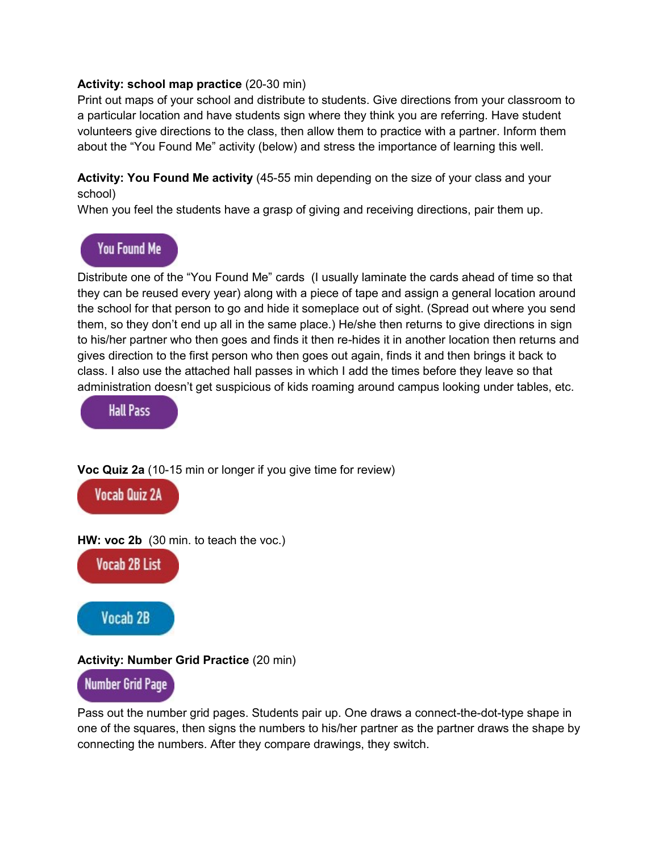#### **Activity: school map practice** (20-30 min)

Print out maps of your school and distribute to students. Give directions from your classroom to a particular location and have students sign where they think you are referring. Have student volunteers give directions to the class, then allow them to practice with a partner. Inform them about the "You Found Me" activity (below) and stress the importance of learning this well.

**Activity: You Found Me activity** (45-55 min depending on the size of your class and your school)

When you feel the students have a grasp of giving and receiving directions, pair them up.

## You Found Me

Distribute one of the "You Found Me" cards (I usually laminate the cards ahead of time so that they can be reused every year) along with a piece of tape and assign a general location around the school for that person to go and hide it someplace out of sight. (Spread out where you send them, so they don't end up all in the same place.) He/she then returns to give directions in sign to his/her partner who then goes and finds it then re-hides it in another location then returns and gives direction to the first person who then goes out again, finds it and then brings it back to class. I also use the attached hall passes in which I add the times before they leave so that administration doesn't get suspicious of kids roaming around campus looking under tables, etc.

**Hall Pass** 

**Voc Quiz 2a** (10-15 min or longer if you give time for review)



**HW: voc 2b** (30 min. to teach the voc.)

**Vocab 2B List** 



#### **Activity: Number Grid Practice** (20 min)

## Number Grid Page

Pass out the number grid pages. Students pair up. One draws a connect-the-dot-type shape in one of the squares, then signs the numbers to his/her partner as the partner draws the shape by connecting the numbers. After they compare drawings, they switch.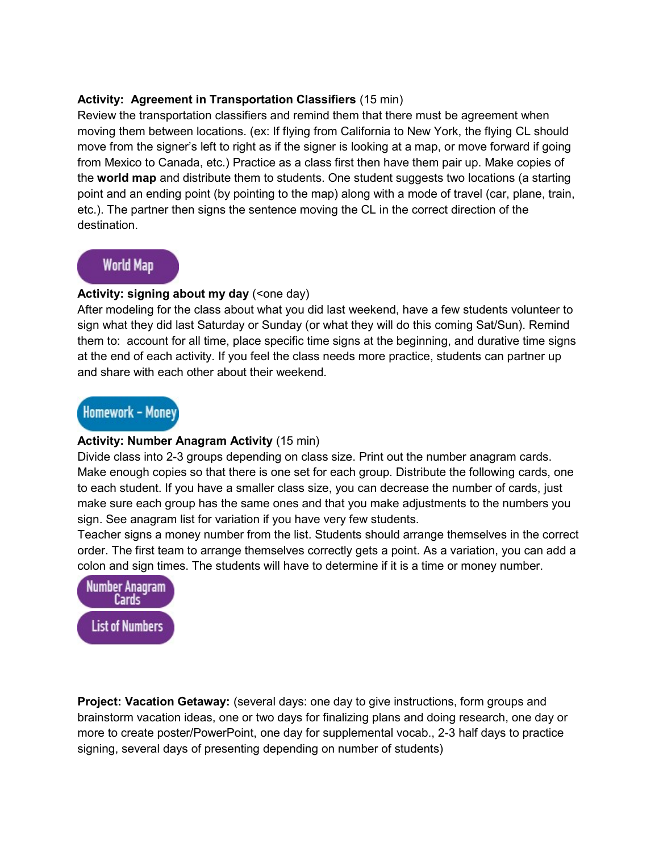#### **Activity: Agreement in Transportation Classifiers** (15 min)

Review the transportation classifiers and remind them that there must be agreement when moving them between locations. (ex: If flying from California to New York, the flying CL should move from the signer's left to right as if the signer is looking at a map, or move forward if going from Mexico to Canada, etc.) Practice as a class first then have them pair up. Make copies of the **world map** and distribute them to students. One student suggests two locations (a starting point and an ending point (by pointing to the map) along with a mode of travel (car, plane, train, etc.). The partner then signs the sentence moving the CL in the correct direction of the destination.

## **World Map**

#### Activity: signing about my day (<one day)

After modeling for the class about what you did last weekend, have a few students volunteer to sign what they did last Saturday or Sunday (or what they will do this coming Sat/Sun). Remind them to: account for all time, place specific time signs at the beginning, and durative time signs at the end of each activity. If you feel the class needs more practice, students can partner up and share with each other about their weekend.

## Homework - Money

#### **Activity: Number Anagram Activity** (15 min)

Divide class into 2-3 groups depending on class size. Print out the number anagram cards. Make enough copies so that there is one set for each group. Distribute the following cards, one to each student. If you have a smaller class size, you can decrease the number of cards, just make sure each group has the same ones and that you make adjustments to the numbers you sign. See anagram list for variation if you have very few students.

Teacher signs a money number from the list. Students should arrange themselves in the correct order. The first team to arrange themselves correctly gets a point. As a variation, you can add a colon and sign times. The students will have to determine if it is a time or money number.



**Project: Vacation Getaway:** (several days: one day to give instructions, form groups and brainstorm vacation ideas, one or two days for finalizing plans and doing research, one day or more to create poster/PowerPoint, one day for supplemental vocab., 2-3 half days to practice signing, several days of presenting depending on number of students)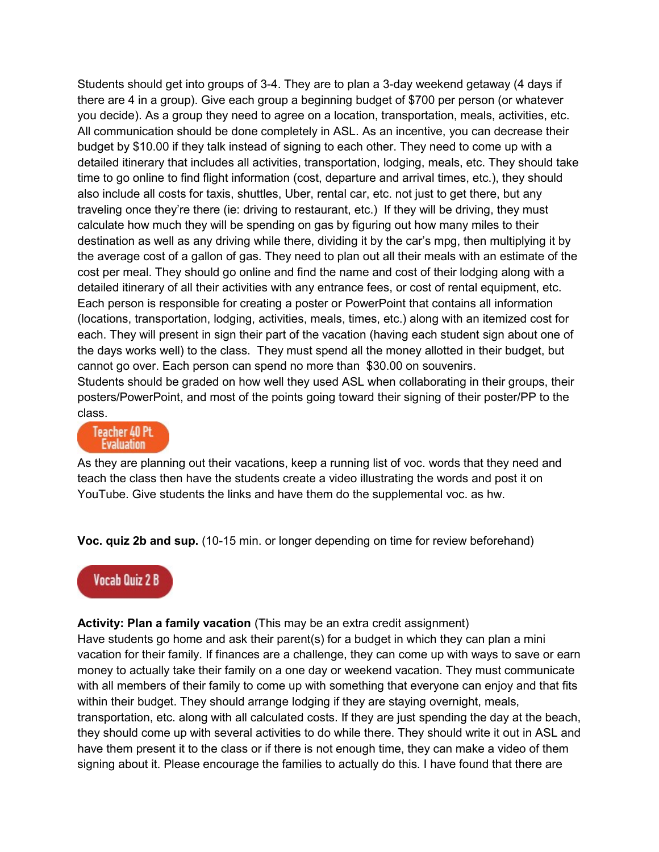Students should get into groups of 3-4. They are to plan a 3-day weekend getaway (4 days if there are 4 in a group). Give each group a beginning budget of \$700 per person (or whatever you decide). As a group they need to agree on a location, transportation, meals, activities, etc. All communication should be done completely in ASL. As an incentive, you can decrease their budget by \$10.00 if they talk instead of signing to each other. They need to come up with a detailed itinerary that includes all activities, transportation, lodging, meals, etc. They should take time to go online to find flight information (cost, departure and arrival times, etc.), they should also include all costs for taxis, shuttles, Uber, rental car, etc. not just to get there, but any traveling once they're there (ie: driving to restaurant, etc.) If they will be driving, they must calculate how much they will be spending on gas by figuring out how many miles to their destination as well as any driving while there, dividing it by the car's mpg, then multiplying it by the average cost of a gallon of gas. They need to plan out all their meals with an estimate of the cost per meal. They should go online and find the name and cost of their lodging along with a detailed itinerary of all their activities with any entrance fees, or cost of rental equipment, etc. Each person is responsible for creating a poster or PowerPoint that contains all information (locations, transportation, lodging, activities, meals, times, etc.) along with an itemized cost for each. They will present in sign their part of the vacation (having each student sign about one of the days works well) to the class. They must spend all the money allotted in their budget, but cannot go over. Each person can spend no more than \$30.00 on souvenirs. Students should be graded on how well they used ASL when collaborating in their groups, their posters/PowerPoint, and most of the points going toward their signing of their poster/PP to the class.



As they are planning out their vacations, keep a running list of voc. words that they need and teach the class then have the students create a video illustrating the words and post it on YouTube. Give students the links and have them do the supplemental voc. as hw.

**Voc. quiz 2b and sup.** (10-15 min. or longer depending on time for review beforehand)

## **Vocab Quiz 2 B**

**Activity: Plan a family vacation** (This may be an extra credit assignment) Have students go home and ask their parent(s) for a budget in which they can plan a mini vacation for their family. If finances are a challenge, they can come up with ways to save or earn money to actually take their family on a one day or weekend vacation. They must communicate with all members of their family to come up with something that everyone can enjoy and that fits within their budget. They should arrange lodging if they are staying overnight, meals, transportation, etc. along with all calculated costs. If they are just spending the day at the beach, they should come up with several activities to do while there. They should write it out in ASL and have them present it to the class or if there is not enough time, they can make a video of them signing about it. Please encourage the families to actually do this. I have found that there are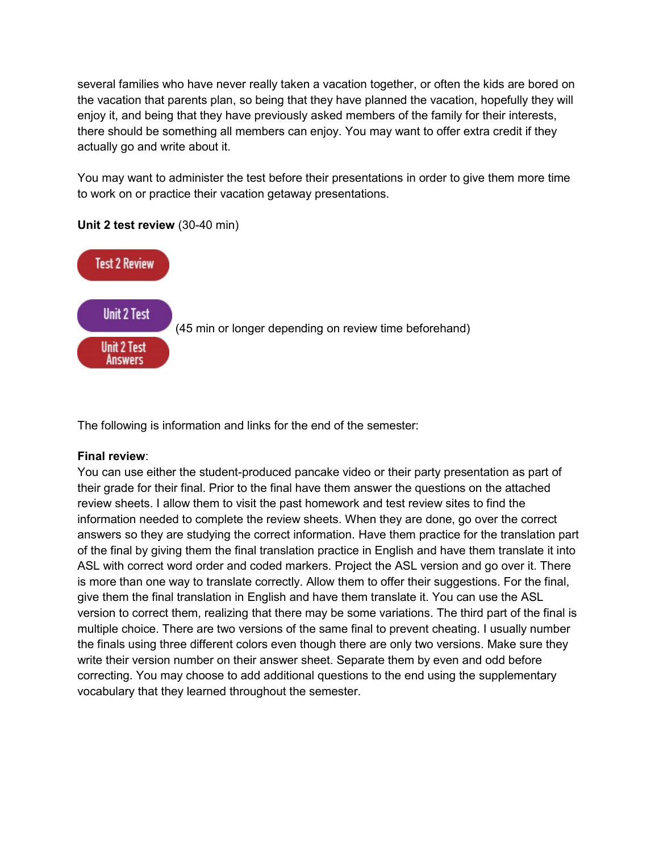several families who have never really taken a vacation together, or often the kids are bored on the vacation that parents plan, so being that they have planned the vacation, hopefully they will enjoy it, and being that they have previously asked members of the family for their interests, there should be something all members can enjoy. You may want to offer extra credit if they actually go and write about it.

You may want to administer the test before their presentations in order to give them more time to work on or practice their vacation getaway presentations.



#### **Unit 2 test review** (30-40 min)

The following is information and links for the end of the semester:

#### **Final review**:

You can use either the student-produced pancake video or their party presentation as part of their grade for their final. Prior to the final have them answer the questions on the attached review sheets. I allow them to visit the past homework and test review sites to find the information needed to complete the review sheets. When they are done, go over the correct answers so they are studying the correct information. Have them practice for the translation part of the final by giving them the final translation practice in English and have them translate it into ASL with correct word order and coded markers. Project the ASL version and go over it. There is more than one way to translate correctly. Allow them to offer their suggestions. For the final, give them the final translation in English and have them translate it. You can use the ASL version to correct them, realizing that there may be some variations. The third part of the final is multiple choice. There are two versions of the same final to prevent cheating. I usually number the finals using three different colors even though there are only two versions. Make sure they write their version number on their answer sheet. Separate them by even and odd before correcting. You may choose to add additional questions to the end using the supplementary vocabulary that they learned throughout the semester.